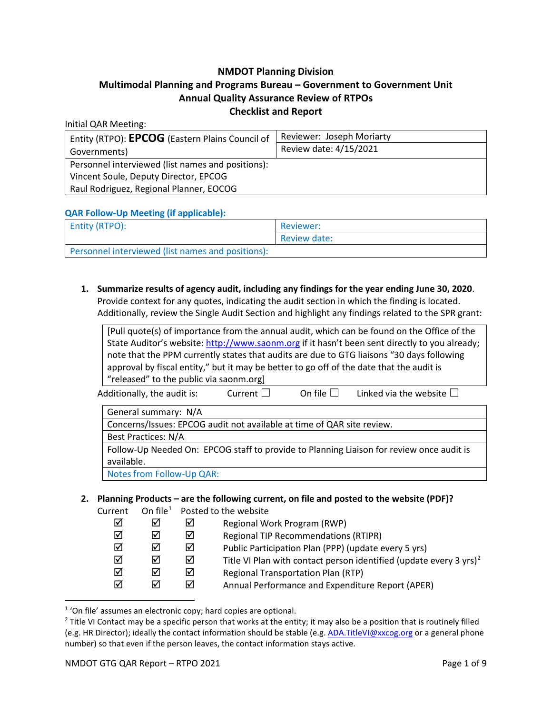### **NMDOT Planning Division**

## **Multimodal Planning and Programs Bureau – Government to Government Unit Annual Quality Assurance Review of RTPOs Checklist and Report**

#### Initial QAR Meeting:

| Entity (RTPO): EPCOG (Eastern Plains Council of   | Reviewer: Joseph Moriarty |
|---------------------------------------------------|---------------------------|
| Governments)                                      | Review date: 4/15/2021    |
| Personnel interviewed (list names and positions): |                           |
| Vincent Soule, Deputy Director, EPCOG             |                           |
| Raul Rodriguez, Regional Planner, EOCOG           |                           |

**QAR Follow-Up Meeting (if applicable):**

| <b>Entity (RTPO):</b>                             | Reviewer:    |
|---------------------------------------------------|--------------|
|                                                   | Review date: |
| Personnel interviewed (list names and positions): |              |

**1. Summarize results of agency audit, including any findings for the year ending June 30, 2020**. Provide context for any quotes, indicating the audit section in which the finding is located. Additionally, review the Single Audit Section and highlight any findings related to the SPR grant:

|                                                                                          |                                                                                               |                     | [Pull quote(s) of importance from the annual audit, which can be found on the Office of the |  |
|------------------------------------------------------------------------------------------|-----------------------------------------------------------------------------------------------|---------------------|---------------------------------------------------------------------------------------------|--|
|                                                                                          | State Auditor's website: http://www.saonm.org if it hasn't been sent directly to you already; |                     |                                                                                             |  |
|                                                                                          |                                                                                               |                     | note that the PPM currently states that audits are due to GTG liaisons "30 days following   |  |
| approval by fiscal entity," but it may be better to go off of the date that the audit is |                                                                                               |                     |                                                                                             |  |
| "released" to the public via saonm.org]                                                  |                                                                                               |                     |                                                                                             |  |
| Additionally, the audit is:                                                              | Current $\Box$                                                                                | On file $  \cdot  $ | Linked via the website $\square$                                                            |  |
| General summary: N/A                                                                     |                                                                                               |                     |                                                                                             |  |

Concerns/Issues: EPCOG audit not available at time of QAR site review. Best Practices: N/A Follow-Up Needed On: EPCOG staff to provide to Planning Liaison for review once audit is available. Notes from Follow-Up QAR:

**2. Planning Products – are the following current, on file and posted to the website (PDF)?** Cu

| urrent |   |   | On file <sup>1</sup> Posted to the website                                     |
|--------|---|---|--------------------------------------------------------------------------------|
| ⊠      | ☑ | ⋈ | Regional Work Program (RWP)                                                    |
| ☑      | ☑ | ☑ | <b>Regional TIP Recommendations (RTIPR)</b>                                    |
| ☑      | ☑ | ⋈ | Public Participation Plan (PPP) (update every 5 yrs)                           |
| ☑      | ☑ | ☑ | Title VI Plan with contact person identified (update every 3 yrs) <sup>2</sup> |
| ☑      | ☑ | ⋈ | <b>Regional Transportation Plan (RTP)</b>                                      |
| ☑      | ☑ | ⋈ | Annual Performance and Expenditure Report (APER)                               |
|        |   |   |                                                                                |

<span id="page-0-0"></span><sup>1</sup> 'On file' assumes an electronic copy; hard copies are optional.

<span id="page-0-1"></span> $2$  Title VI Contact may be a specific person that works at the entity; it may also be a position that is routinely filled (e.g. HR Director); ideally the contact information should be stable (e.g. [ADA.TitleVI@xxcog.org](mailto:ADA.TitleVI@xxcog.org) or a general phone number) so that even if the person leaves, the contact information stays active.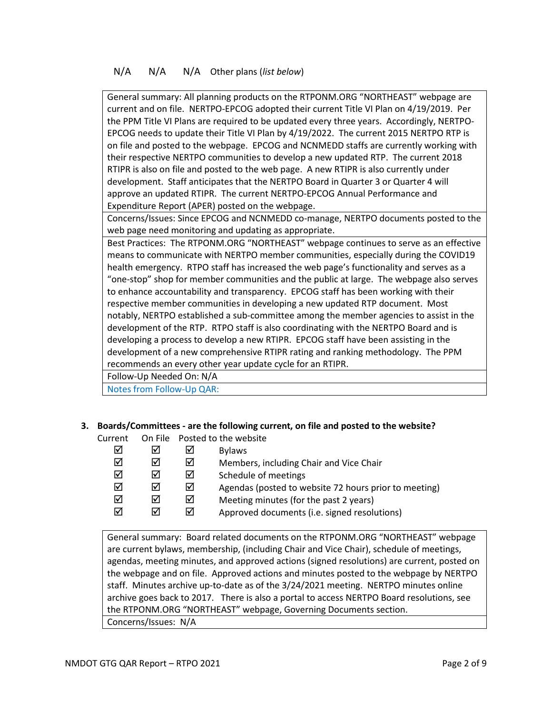## N/A N/A N/A Other plans (*list below*)

General summary: All planning products on the RTPONM.ORG "NORTHEAST" webpage are current and on file. NERTPO-EPCOG adopted their current Title VI Plan on 4/19/2019. Per the PPM Title VI Plans are required to be updated every three years. Accordingly, NERTPO-EPCOG needs to update their Title VI Plan by 4/19/2022. The current 2015 NERTPO RTP is on file and posted to the webpage. EPCOG and NCNMEDD staffs are currently working with their respective NERTPO communities to develop a new updated RTP. The current 2018 RTIPR is also on file and posted to the web page. A new RTIPR is also currently under development. Staff anticipates that the NERTPO Board in Quarter 3 or Quarter 4 will approve an updated RTIPR. The current NERTPO-EPCOG Annual Performance and Expenditure Report (APER) posted on the webpage.

Concerns/Issues: Since EPCOG and NCNMEDD co-manage, NERTPO documents posted to the web page need monitoring and updating as appropriate.

Best Practices: The RTPONM.ORG "NORTHEAST" webpage continues to serve as an effective means to communicate with NERTPO member communities, especially during the COVID19 health emergency. RTPO staff has increased the web page's functionality and serves as a "one-stop" shop for member communities and the public at large. The webpage also serves to enhance accountability and transparency. EPCOG staff has been working with their respective member communities in developing a new updated RTP document. Most notably, NERTPO established a sub-committee among the member agencies to assist in the development of the RTP. RTPO staff is also coordinating with the NERTPO Board and is developing a process to develop a new RTIPR. EPCOG staff have been assisting in the development of a new comprehensive RTIPR rating and ranking methodology. The PPM recommends an every other year update cycle for an RTIPR.

Follow-Up Needed On: N/A Notes from Follow-Up QAR:

# **3. Boards/Committees - are the following current, on file and posted to the website?**

Current On File Posted to the website

| ☑<br>☑<br>☑ | ☑<br>☑ |   | <b>Bylaws</b><br>Members, including Chair and Vice Chair<br>Schedule of meetings |
|-------------|--------|---|----------------------------------------------------------------------------------|
| ☑           | ☑      | ⋈ | Agendas (posted to website 72 hours prior to meeting)                            |
| ☑           | ☑      |   | Meeting minutes (for the past 2 years)                                           |
| ☑           | ☑      |   | Approved documents (i.e. signed resolutions)                                     |

General summary: Board related documents on the RTPONM.ORG "NORTHEAST" webpage are current bylaws, membership, (including Chair and Vice Chair), schedule of meetings, agendas, meeting minutes, and approved actions (signed resolutions) are current, posted on the webpage and on file. Approved actions and minutes posted to the webpage by NERTPO staff. Minutes archive up-to-date as of the 3/24/2021 meeting. NERTPO minutes online archive goes back to 2017. There is also a portal to access NERTPO Board resolutions, see the RTPONM.ORG "NORTHEAST" webpage, Governing Documents section. Concerns/Issues: N/A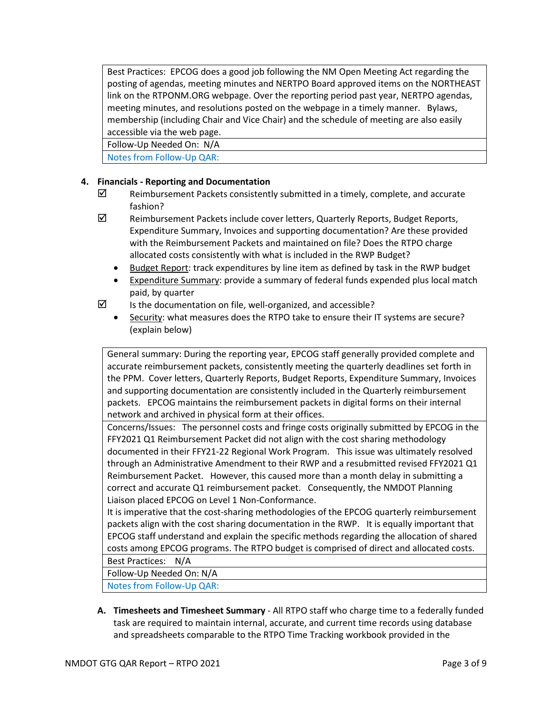Best Practices: EPCOG does a good job following the NM Open Meeting Act regarding the posting of agendas, meeting minutes and NERTPO Board approved items on the NORTHEAST link on the RTPONM.ORG webpage. Over the reporting period past year, NERTPO agendas, meeting minutes, and resolutions posted on the webpage in a timely manner. Bylaws, membership (including Chair and Vice Chair) and the schedule of meeting are also easily accessible via the web page.

Follow-Up Needed On: N/A

Notes from Follow-Up QAR:

## **4. Financials - Reporting and Documentation**

- $\boxtimes$  Reimbursement Packets consistently submitted in a timely, complete, and accurate fashion?
- $\boxtimes$  Reimbursement Packets include cover letters, Quarterly Reports, Budget Reports, Expenditure Summary, Invoices and supporting documentation? Are these provided with the Reimbursement Packets and maintained on file? Does the RTPO charge allocated costs consistently with what is included in the RWP Budget?
	- Budget Report: track expenditures by line item as defined by task in the RWP budget
	- Expenditure Summary: provide a summary of federal funds expended plus local match paid, by quarter
- $\triangledown$  Is the documentation on file, well-organized, and accessible?
	- Security: what measures does the RTPO take to ensure their IT systems are secure? (explain below)

General summary: During the reporting year, EPCOG staff generally provided complete and accurate reimbursement packets, consistently meeting the quarterly deadlines set forth in the PPM. Cover letters, Quarterly Reports, Budget Reports, Expenditure Summary, Invoices and supporting documentation are consistently included in the Quarterly reimbursement packets. EPCOG maintains the reimbursement packets in digital forms on their internal network and archived in physical form at their offices.

Concerns/Issues: The personnel costs and fringe costs originally submitted by EPCOG in the FFY2021 Q1 Reimbursement Packet did not align with the cost sharing methodology documented in their FFY21-22 Regional Work Program. This issue was ultimately resolved through an Administrative Amendment to their RWP and a resubmitted revised FFY2021 Q1 Reimbursement Packet. However, this caused more than a month delay in submitting a correct and accurate Q1 reimbursement packet. Consequently, the NMDOT Planning Liaison placed EPCOG on Level 1 Non-Conformance.

It is imperative that the cost-sharing methodologies of the EPCOG quarterly reimbursement packets align with the cost sharing documentation in the RWP. It is equally important that EPCOG staff understand and explain the specific methods regarding the allocation of shared costs among EPCOG programs. The RTPO budget is comprised of direct and allocated costs.

Best Practices: N/A

Follow-Up Needed On: N/A

Notes from Follow-Up QAR:

**A. Timesheets and Timesheet Summary** - All RTPO staff who charge time to a federally funded task are required to maintain internal, accurate, and current time records using database and spreadsheets comparable to the RTPO Time Tracking workbook provided in the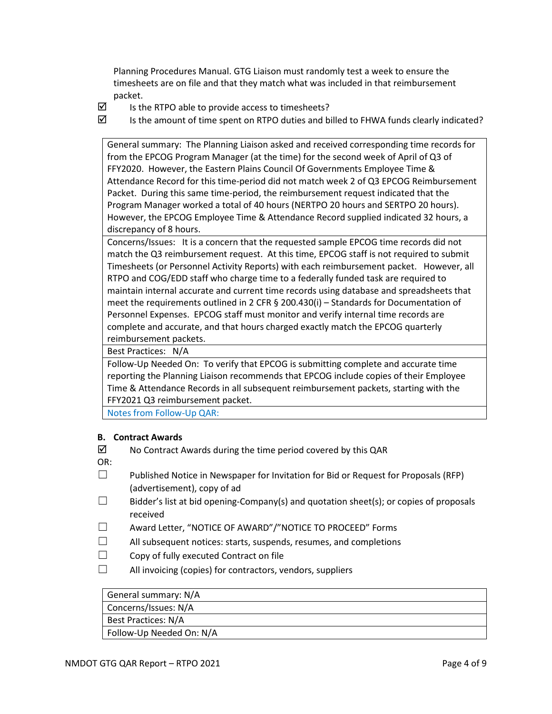Planning Procedures Manual. GTG Liaison must randomly test a week to ensure the timesheets are on file and that they match what was included in that reimbursement packet.

- $\boxtimes$  Is the RTPO able to provide access to timesheets?
- $\boxtimes$  Is the amount of time spent on RTPO duties and billed to FHWA funds clearly indicated?

General summary: The Planning Liaison asked and received corresponding time records for from the EPCOG Program Manager (at the time) for the second week of April of Q3 of FFY2020. However, the Eastern Plains Council Of Governments Employee Time & Attendance Record for this time-period did not match week 2 of Q3 EPCOG Reimbursement Packet. During this same time-period, the reimbursement request indicated that the Program Manager worked a total of 40 hours (NERTPO 20 hours and SERTPO 20 hours). However, the EPCOG Employee Time & Attendance Record supplied indicated 32 hours, a discrepancy of 8 hours.

Concerns/Issues: It is a concern that the requested sample EPCOG time records did not match the Q3 reimbursement request. At this time, EPCOG staff is not required to submit Timesheets (or Personnel Activity Reports) with each reimbursement packet. However, all RTPO and COG/EDD staff who charge time to a federally funded task are required to maintain internal accurate and current time records using database and spreadsheets that meet the requirements outlined in 2 CFR § 200.430(i) – Standards for Documentation of Personnel Expenses. EPCOG staff must monitor and verify internal time records are complete and accurate, and that hours charged exactly match the EPCOG quarterly reimbursement packets.

Best Practices: N/A

Follow-Up Needed On: To verify that EPCOG is submitting complete and accurate time reporting the Planning Liaison recommends that EPCOG include copies of their Employee Time & Attendance Records in all subsequent reimbursement packets, starting with the FFY2021 Q3 reimbursement packet.

Notes from Follow-Up QAR:

### **B. Contract Awards**

- $\boxtimes$  No Contract Awards during the time period covered by this QAR
- OR:
- $\square$  Published Notice in Newspaper for Invitation for Bid or Request for Proposals (RFP) (advertisement), copy of ad
- $\Box$  Bidder's list at bid opening-Company(s) and quotation sheet(s); or copies of proposals received
- ☐ Award Letter, "NOTICE OF AWARD"/"NOTICE TO PROCEED" Forms
- $\Box$  All subsequent notices: starts, suspends, resumes, and completions
- ☐ Copy of fully executed Contract on file
- $\Box$  All invoicing (copies) for contractors, vendors, suppliers

# General summary: N/A

Concerns/Issues: N/A

Best Practices: N/A

Follow-Up Needed On: N/A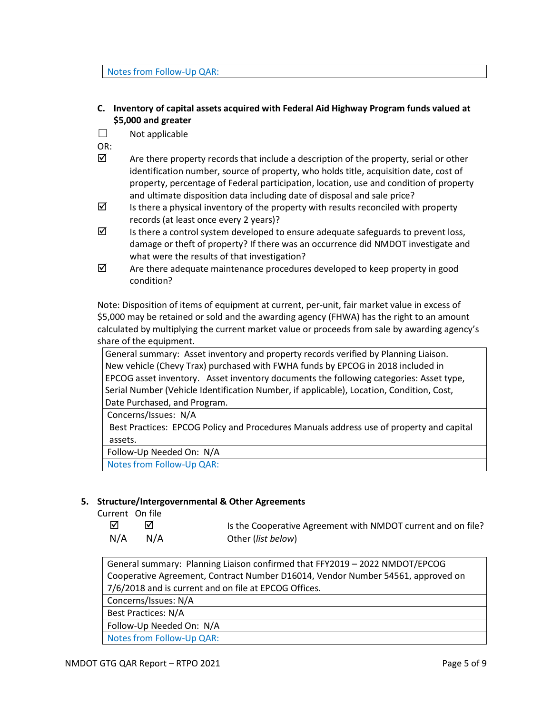#### Notes from Follow-Up QAR:

### **C. Inventory of capital assets acquired with Federal Aid Highway Program funds valued at \$5,000 and greater**

 $\Box$  Not applicable

OR:

- $\boxtimes$  Are there property records that include a description of the property, serial or other identification number, source of property, who holds title, acquisition date, cost of property, percentage of Federal participation, location, use and condition of property and ultimate disposition data including date of disposal and sale price?
- $\boxtimes$  Is there a physical inventory of the property with results reconciled with property records (at least once every 2 years)?
- $\boxtimes$  Is there a control system developed to ensure adequate safeguards to prevent loss, damage or theft of property? If there was an occurrence did NMDOT investigate and what were the results of that investigation?
- $\boxtimes$  Are there adequate maintenance procedures developed to keep property in good condition?

Note: Disposition of items of equipment at current, per-unit, fair market value in excess of \$5,000 may be retained or sold and the awarding agency (FHWA) has the right to an amount calculated by multiplying the current market value or proceeds from sale by awarding agency's share of the equipment.

General summary: Asset inventory and property records verified by Planning Liaison. New vehicle (Chevy Trax) purchased with FWHA funds by EPCOG in 2018 included in EPCOG asset inventory. Asset inventory documents the following categories: Asset type, Serial Number (Vehicle Identification Number, if applicable), Location, Condition, Cost, Date Purchased, and Program.

Concerns/Issues: N/A

Best Practices: EPCOG Policy and Procedures Manuals address use of property and capital assets.

Follow-Up Needed On: N/A

Notes from Follow-Up QAR:

### **5. Structure/Intergovernmental & Other Agreements**

Current On file

| ☑   |     | Is the Cooperative Agreement with NMDOT current and on file? |
|-----|-----|--------------------------------------------------------------|
| N/A | N/A | Other (list below)                                           |

General summary: Planning Liaison confirmed that FFY2019 – 2022 NMDOT/EPCOG Cooperative Agreement, Contract Number D16014, Vendor Number 54561, approved on 7/6/2018 and is current and on file at EPCOG Offices.

Concerns/Issues: N/A

Best Practices: N/A

Follow-Up Needed On: N/A

Notes from Follow-Up QAR: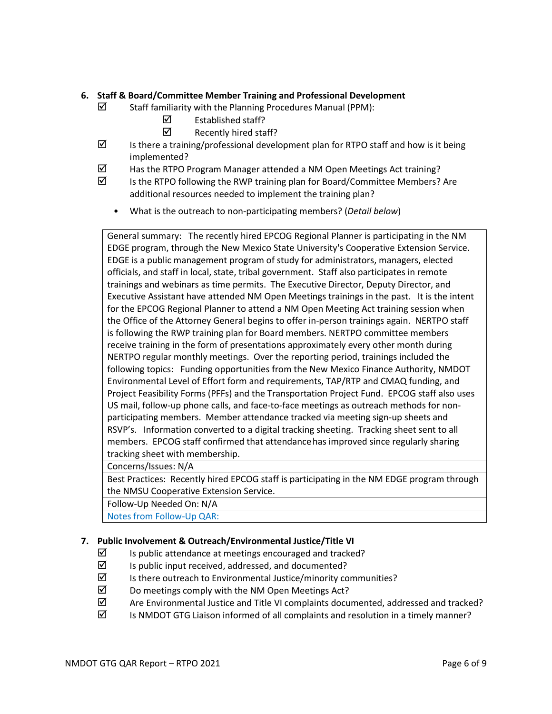### **6. Staff & Board/Committee Member Training and Professional Development**

- $\boxtimes$  Staff familiarity with the Planning Procedures Manual (PPM):
	- $\boxtimes$  Established staff?
	- $\boxtimes$  Recently hired staff?
- $\boxtimes$  Is there a training/professional development plan for RTPO staff and how is it being implemented?
- $\boxtimes$  Has the RTPO Program Manager attended a NM Open Meetings Act training?
- $\boxtimes$  Is the RTPO following the RWP training plan for Board/Committee Members? Are additional resources needed to implement the training plan?
	- What is the outreach to non-participating members? (*Detail below*)

General summary: The recently hired EPCOG Regional Planner is participating in the NM EDGE program, through the New Mexico State University's Cooperative Extension Service. EDGE is a public management program of study for administrators, managers, elected officials, and staff in local, state, tribal government. Staff also participates in remote trainings and webinars as time permits. The Executive Director, Deputy Director, and Executive Assistant have attended NM Open Meetings trainings in the past. It is the intent for the EPCOG Regional Planner to attend a NM Open Meeting Act training session when the Office of the Attorney General begins to offer in-person trainings again. NERTPO staff is following the RWP training plan for Board members. NERTPO committee members receive training in the form of presentations approximately every other month during NERTPO regular monthly meetings. Over the reporting period, trainings included the following topics: Funding opportunities from the New Mexico Finance Authority, NMDOT Environmental Level of Effort form and requirements, TAP/RTP and CMAQ funding, and Project Feasibility Forms (PFFs) and the Transportation Project Fund. EPCOG staff also uses US mail, follow-up phone calls, and face-to-face meetings as outreach methods for nonparticipating members. Member attendance tracked via meeting sign-up sheets and RSVP's. Information converted to a digital tracking sheeting. Tracking sheet sent to all members. EPCOG staff confirmed that attendancehas improved since regularly sharing tracking sheet with membership.

Concerns/Issues: N/A

Best Practices: Recently hired EPCOG staff is participating in the NM EDGE program through the NMSU Cooperative Extension Service.

Follow-Up Needed On: N/A

Notes from Follow-Up QAR:

# **7. Public Involvement & Outreach/Environmental Justice/Title VI**

- $\boxtimes$  Is public attendance at meetings encouraged and tracked?
- $\boxtimes$  Is public input received, addressed, and documented?
- $\boxtimes$  Is there outreach to Environmental Justice/minority communities?
- $\boxtimes$  Do meetings comply with the NM Open Meetings Act?
- $\boxtimes$  Are Environmental Justice and Title VI complaints documented, addressed and tracked?
- $\boxtimes$  Is NMDOT GTG Liaison informed of all complaints and resolution in a timely manner?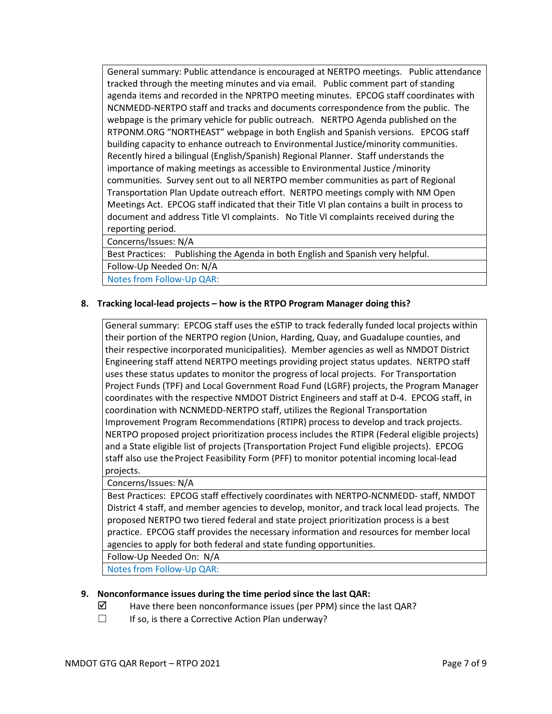General summary: Public attendance is encouraged at NERTPO meetings. Public attendance tracked through the meeting minutes and via email. Public comment part of standing agenda items and recorded in the NPRTPO meeting minutes. EPCOG staff coordinates with NCNMEDD-NERTPO staff and tracks and documents correspondence from the public. The webpage is the primary vehicle for public outreach. NERTPO Agenda published on the RTPONM.ORG "NORTHEAST" webpage in both English and Spanish versions. EPCOG staff building capacity to enhance outreach to Environmental Justice/minority communities. Recently hired a bilingual (English/Spanish) Regional Planner. Staff understands the importance of making meetings as accessible to Environmental Justice /minority communities. Survey sent out to all NERTPO member communities as part of Regional Transportation Plan Update outreach effort. NERTPO meetings comply with NM Open Meetings Act. EPCOG staff indicated that their Title VI plan contains a built in process to document and address Title VI complaints. No Title VI complaints received during the reporting period.

Concerns/Issues: N/A

Best Practices: Publishing the Agenda in both English and Spanish very helpful. Follow-Up Needed On: N/A

Notes from Follow-Up QAR:

### **8. Tracking local-lead projects – how is the RTPO Program Manager doing this?**

General summary: EPCOG staff uses the eSTIP to track federally funded local projects within their portion of the NERTPO region (Union, Harding, Quay, and Guadalupe counties, and their respective incorporated municipalities). Member agencies as well as NMDOT District Engineering staff attend NERTPO meetings providing project status updates. NERTPO staff uses these status updates to monitor the progress of local projects. For Transportation Project Funds (TPF) and Local Government Road Fund (LGRF) projects, the Program Manager coordinates with the respective NMDOT District Engineers and staff at D-4. EPCOG staff, in coordination with NCNMEDD-NERTPO staff, utilizes the Regional Transportation Improvement Program Recommendations (RTIPR) process to develop and track projects. NERTPO proposed project prioritization process includes the RTIPR (Federal eligible projects) and a State eligible list of projects (Transportation Project Fund eligible projects). EPCOG staff also use theProject Feasibility Form (PFF) to monitor potential incoming local-lead projects.

### Concerns/Issues: N/A

Best Practices: EPCOG staff effectively coordinates with NERTPO-NCNMEDD- staff, NMDOT District 4 staff, and member agencies to develop, monitor, and track local lead projects. The proposed NERTPO two tiered federal and state project prioritization process is a best practice. EPCOG staff provides the necessary information and resources for member local agencies to apply for both federal and state funding opportunities.

Follow-Up Needed On: N/A

Notes from Follow-Up QAR:

### **9. Nonconformance issues during the time period since the last QAR:**

- $\boxtimes$  Have there been nonconformance issues (per PPM) since the last QAR?
- ☐ If so, is there a Corrective Action Plan underway?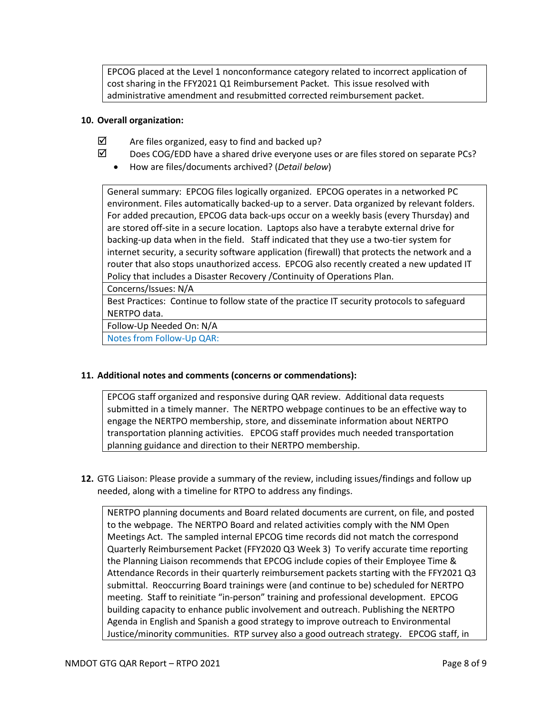EPCOG placed at the Level 1 nonconformance category related to incorrect application of cost sharing in the FFY2021 Q1 Reimbursement Packet. This issue resolved with administrative amendment and resubmitted corrected reimbursement packet.

### **10. Overall organization:**

- $\boxtimes$  Are files organized, easy to find and backed up?
- $\boxtimes$  Does COG/EDD have a shared drive everyone uses or are files stored on separate PCs?
	- How are files/documents archived? (*Detail below*)

General summary: EPCOG files logically organized. EPCOG operates in a networked PC environment. Files automatically backed-up to a server. Data organized by relevant folders. For added precaution, EPCOG data back-ups occur on a weekly basis (every Thursday) and are stored off-site in a secure location. Laptops also have a terabyte external drive for backing-up data when in the field. Staff indicated that they use a two-tier system for internet security, a security software application (firewall) that protects the network and a router that also stops unauthorized access. EPCOG also recently created a new updated IT Policy that includes a Disaster Recovery /Continuity of Operations Plan.

Concerns/Issues: N/A

Best Practices: Continue to follow state of the practice IT security protocols to safeguard NERTPO data.

Follow-Up Needed On: N/A

Notes from Follow-Up QAR:

### **11. Additional notes and comments (concerns or commendations):**

EPCOG staff organized and responsive during QAR review. Additional data requests submitted in a timely manner. The NERTPO webpage continues to be an effective way to engage the NERTPO membership, store, and disseminate information about NERTPO transportation planning activities. EPCOG staff provides much needed transportation planning guidance and direction to their NERTPO membership.

**12.** GTG Liaison: Please provide a summary of the review, including issues/findings and follow up needed, along with a timeline for RTPO to address any findings.

NERTPO planning documents and Board related documents are current, on file, and posted to the webpage. The NERTPO Board and related activities comply with the NM Open Meetings Act. The sampled internal EPCOG time records did not match the correspond Quarterly Reimbursement Packet (FFY2020 Q3 Week 3) To verify accurate time reporting the Planning Liaison recommends that EPCOG include copies of their Employee Time & Attendance Records in their quarterly reimbursement packets starting with the FFY2021 Q3 submittal. Reoccurring Board trainings were (and continue to be) scheduled for NERTPO meeting. Staff to reinitiate "in-person" training and professional development. EPCOG building capacity to enhance public involvement and outreach. Publishing the NERTPO Agenda in English and Spanish a good strategy to improve outreach to Environmental Justice/minority communities. RTP survey also a good outreach strategy. EPCOG staff, in